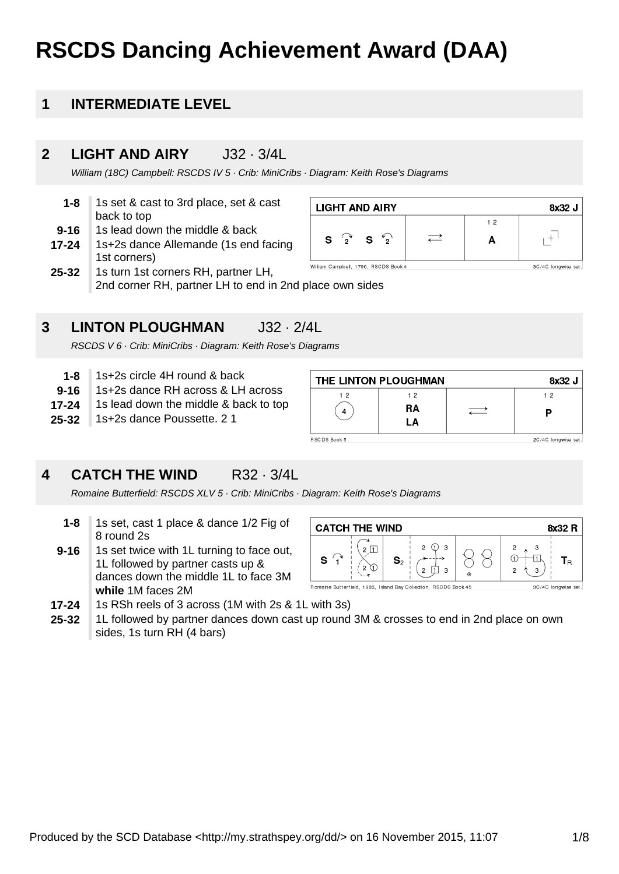# **RSCDS Dancing Achievement Award (DAA)**

#### **1 INTERMEDIATE LEVEL**

#### **2 LIGHT AND AIRY** J32 · 3/4L

William (18C) Campbell: RSCDS IV 5 · Crib: MiniCribs · Diagram: Keith Rose's Diagrams

| 1-8      | 1s set & cast to 3rd place, set & cast |
|----------|----------------------------------------|
|          | back to top                            |
| $9 - 16$ | 1s lead down the middle & back         |

**17-24** 1s+2s dance Allemande (1s end facing 1st corners)





RSCDS V 6 · Crib: MiniCribs · Diagram: Keith Rose's Diagrams

- **1-8** 1s+2s circle 4H round & back
- **9-16** 1s+2s dance RH across & LH across
- **17-24** 1s lead down the middle & back to top
- **25-32** 1s+2s dance Poussette. 2 1

| THE LINTON PLOUGHMAN<br>8x32 J |    |  |                     |  |  |
|--------------------------------|----|--|---------------------|--|--|
| 12                             | 12 |  | 12                  |  |  |
|                                | RA |  |                     |  |  |
|                                | LA |  |                     |  |  |
| RSC DS Book 5                  |    |  | 2C/4C longwise set. |  |  |

3C/4C longwise set.

#### **4 CATCH THE WIND R32 · 3/4L**

Romaine Butterfield: RSCDS XLV 5 · Crib: MiniCribs · Diagram: Keith Rose's Diagrams

- **1-8** 1s set, cast 1 place & dance 1/2 Fig of 8 round 2s
- **9-16** 1s set twice with 1L turning to face out, 1L followed by partner casts up & dances down the middle 1L to face 3M **while** 1M faces 2M



- **17-24** 1s RSh reels of 3 across (1M with 2s & 1L with 3s)
- **25-32** 1L followed by partner dances down cast up round 3M & crosses to end in 2nd place on own sides, 1s turn RH (4 bars)

**LIGHT AND AIRY** 8x32 J  $1<sub>2</sub>$  $\rightleftarrows$  $+$ <sup>1</sup>  $S^{\prime}$ S  $\mathbf{r}$ A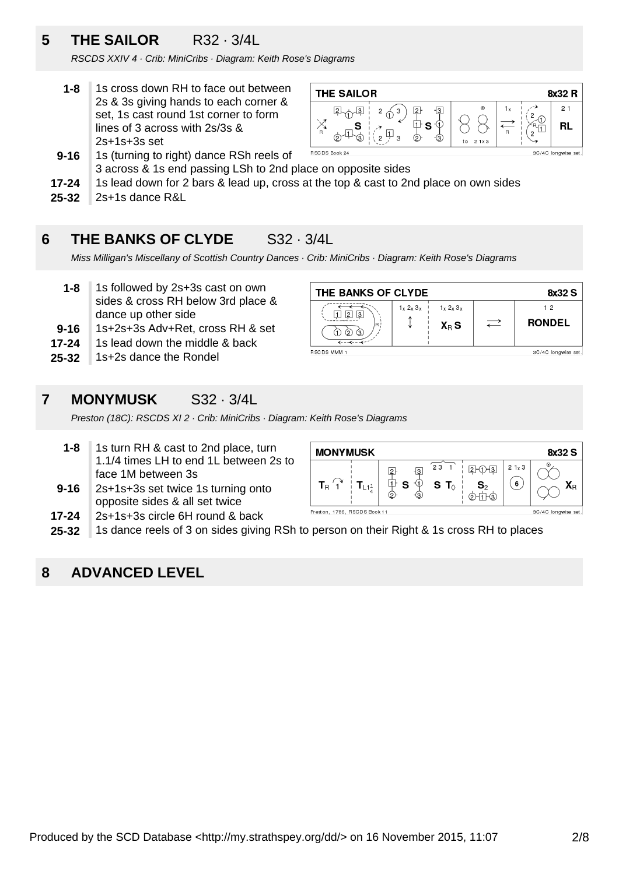### **5 THE SAILOR** R32 · 3/4L

RSCDS XXIV 4 · Crib: MiniCribs · Diagram: Keith Rose's Diagrams

**1-8** 1s cross down RH to face out between 2s & 3s giving hands to each corner & set, 1s cast round 1st corner to form lines of 3 across with 2s/3s & 2s+1s+3s set



- **9-16** 1s (turning to right) dance RSh reels of 3 across & 1s end passing LSh to 2nd place on opposite sides
- **17-24** 1s lead down for 2 bars & lead up, cross at the top & cast to 2nd place on own sides
- **25-32** 2s+1s dance R&L

#### **6 THE BANKS OF CLYDE** S32 · 3/4L

Miss Milligan's Miscellany of Scottish Country Dances · Crib: MiniCribs · Diagram: Keith Rose's Diagrams

- **1-8** 1s followed by 2s+3s cast on own sides & cross RH below 3rd place & dance up other side
- **9-16** 1s+2s+3s Adv+Ret, cross RH & set
- **17-24** 1s lead down the middle & back
- **25-32** 1s+2s dance the Rondel

| THE BANKS OF CLYDE<br>8x32 S       |               |                                   |                          |                     |  |
|------------------------------------|---------------|-----------------------------------|--------------------------|---------------------|--|
| IЗ<br>2<br>(၇)<br>Θ.               | $1_x 2_x 3_x$ | $1_x 2_x 3_x$<br>$X_{\text{B}}$ S | $\overline{\phantom{m}}$ | 12<br><b>RONDEL</b> |  |
| RSCDS MMM 1<br>3C/4C longwise set. |               |                                   |                          |                     |  |

#### **7 MONYMUSK** S32 · 3/4L

Preston (18C): RSCDS XI 2 · Crib: MiniCribs · Diagram: Keith Rose's Diagrams

- **1-8** 1s turn RH & cast to 2nd place, turn 1.1/4 times LH to end 1L between 2s to face 1M between 3s
- **9-16** 2s+1s+3s set twice 1s turning onto opposite sides & all set twice
- **17-24** 2s+1s+3s circle 6H round & back

**MONYMUSK** 8x32 S  $\overline{23}$  $21 \times 3$  $2 - 0 - 3$  $\boxed{2}$  $\overline{3}$  $\oplus$  s  $S<sub>2</sub>$  $\Phi$  $(\mathbf{6})$  $S$  T<sub> $\odot$ </sub>  $T_{\rm B}$  1  $T_{L11}$  $X_{\text{R}}$  $\circledcirc$ Preston, 1786, RSCDS Book 11 3C/4C longwise set.

**25-32** 1s dance reels of 3 on sides giving RSh to person on their Right & 1s cross RH to places

#### **8 ADVANCED LEVEL**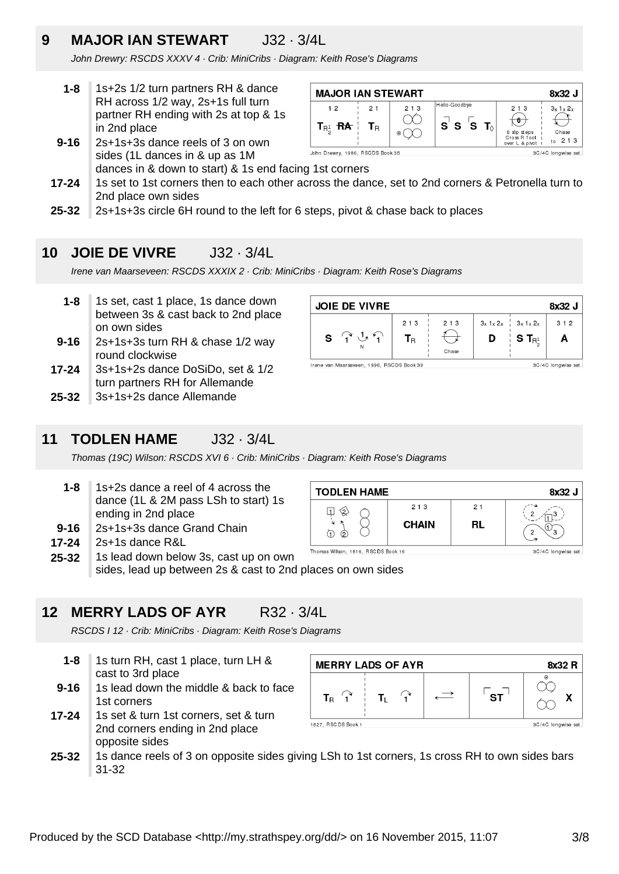### **9 MAJOR IAN STEWART** J32 · 3/4L

John Drewry: RSCDS XXXV 4 · Crib: MiniCribs · Diagram: Keith Rose's Diagrams

- **1-8** 1s+2s 1/2 turn partners RH & dance RH across 1/2 way, 2s+1s full turn partner RH ending with 2s at top & 1s in 2nd place
- **9-16** 2s+1s+3s dance reels of 3 on own sides (1L dances in & up as 1M



- **17-24** dances in & down to start) & 1s end facing 1st corners 1s set to 1st corners then to each other across the dance, set to 2nd corners & Petronella turn to 2nd place own sides
- **25-32** 2s+1s+3s circle 6H round to the left for 6 steps, pivot & chase back to places

#### **10 JOIE DE VIVRE** J32 · 3/4L

Irene van Maarseveen: RSCDS XXXIX 2 · Crib: MiniCribs · Diagram: Keith Rose's Diagrams

- **1-8** 1s set, cast 1 place, 1s dance down between 3s & cast back to 2nd place on own sides
- **9-16** 2s+1s+3s turn RH & chase 1/2 way round clockwise
- **17-24** 3s+1s+2s dance DoSiDo, set & 1/2 turn partners RH for Allemande
- **25-32** 3s+1s+2s dance Allemande



#### **11 TODLEN HAME** J32 · 3/4L

Thomas (19C) Wilson: RSCDS XVI 6 · Crib: MiniCribs · Diagram: Keith Rose's Diagrams

- **1-8** 1s+2s dance a reel of 4 across the dance (1L & 2M pass LSh to start) 1s ending in 2nd place
- **9-16** 2s+1s+3s dance Grand Chain
- **17-24** 2s+1s dance R&L
- **25-32** 1s lead down below 3s, cast up on own

sides, lead up between 2s & cast to 2nd places on own sides

#### **12 MERRY LADS OF AYR** R32 · 3/4L

RSCDS I 12 · Crib: MiniCribs · Diagram: Keith Rose's Diagrams

- **1-8** 1s turn RH, cast 1 place, turn LH & cast to 3rd place
- **9-16** 1s lead down the middle & back to face 1st corners
- **17-24** 1s set & turn 1st corners, set & turn 2nd corners ending in 2nd place opposite sides



**25-32** 1s dance reels of 3 on opposite sides giving LSh to 1st corners, 1s cross RH to own sides bars 31-32



**TODLEN HAME** 

8x32 J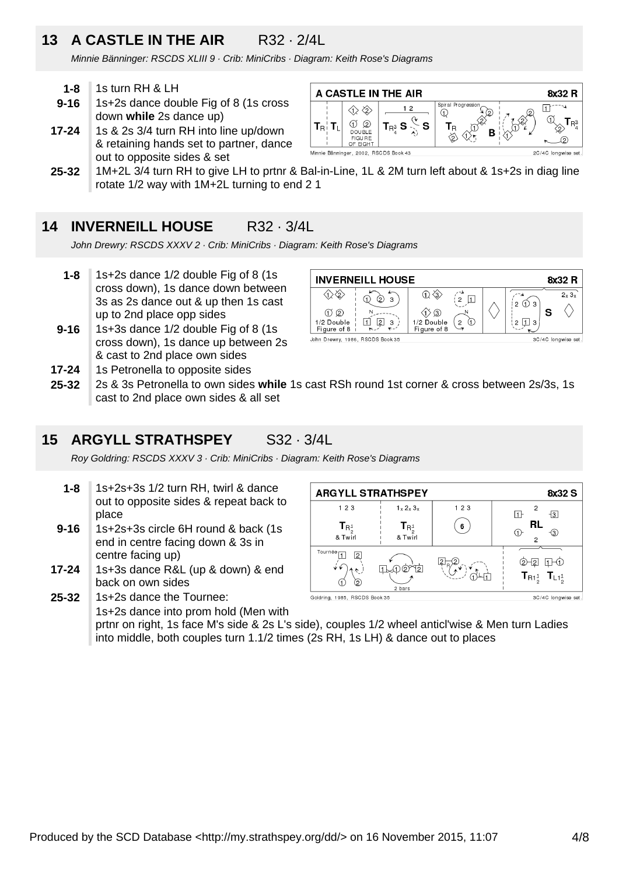### **13 A CASTLE IN THE AIR** R32 · 2/4L

Minnie Bänninger: RSCDS XLIII 9 · Crib: MiniCribs · Diagram: Keith Rose's Diagrams

- **1-8** 1s turn RH & LH
- **9-16** 1s+2s dance double Fig of 8 (1s cross down **while** 2s dance up)
- **17-24** 1s & 2s 3/4 turn RH into line up/down & retaining hands set to partner, dance out to opposite sides & set



**25-32** 1M+2L 3/4 turn RH to give LH to prtnr & Bal-in-Line, 1L & 2M turn left about & 1s+2s in diag line rotate 1/2 way with 1M+2L turning to end 2 1

#### **14 INVERNEILL HOUSE** R32 · 3/4L

John Drewry: RSCDS XXXV 2 · Crib: MiniCribs · Diagram: Keith Rose's Diagrams

- **1-8** 1s+2s dance 1/2 double Fig of 8 (1s cross down), 1s dance down between 3s as 2s dance out & up then 1s cast up to 2nd place opp sides
- **9-16** 1s+3s dance 1/2 double Fig of 8 (1s cross down), 1s dance up between 2s & cast to 2nd place own sides
- **INVERNEILL HOUSE** 8x32 R 金  $\textcircled{1}$  $\left(\begin{smallmatrix}\n2\\2\n\end{smallmatrix}\right)\square$  $\overline{2\vee 3\vee}$  $\delta$  3  $\overline{Q}$  $1203$  $O$  $N = \langle \uparrow \rangle$  ③  $\mathbf{S}$ (2 <u>口</u> 3 1/2 Double  $\mathbb{E}[\mathfrak{p}_3]$ 1/2 Double ( २\_ ⊙ Figure of 8 Figure of 8 John Drewry, 1986, RSCDS Book 35 3C/4C longwise set
- **25-32 17-24** 1s Petronella to opposite sides 2s & 3s Petronella to own sides **while** 1s cast RSh round 1st corner & cross between 2s/3s, 1s
	- cast to 2nd place own sides & all set

#### **15 ARGYLL STRATHSPEY** S32 · 3/4L

Roy Goldring: RSCDS XXXV 3 · Crib: MiniCribs · Diagram: Keith Rose's Diagrams

- **1-8** 1s+2s+3s 1/2 turn RH, twirl & dance out to opposite sides & repeat back to place
- **9-16** 1s+2s+3s circle 6H round & back (1s end in centre facing down & 3s in centre facing up)
- **17-24** 1s+3s dance R&L (up & down) & end back on own sides

**25-32** 1s+2s dance the Tournee: Goldring, 1985, RSCDS Book 35 1s+2s dance into prom hold (Men with prtnr on right, 1s face M's side & 2s L's side), couples 1/2 wheel anticl'wise & Men turn Ladies into middle, both couples turn 1.1/2 times (2s RH, 1s LH) & dance out to places

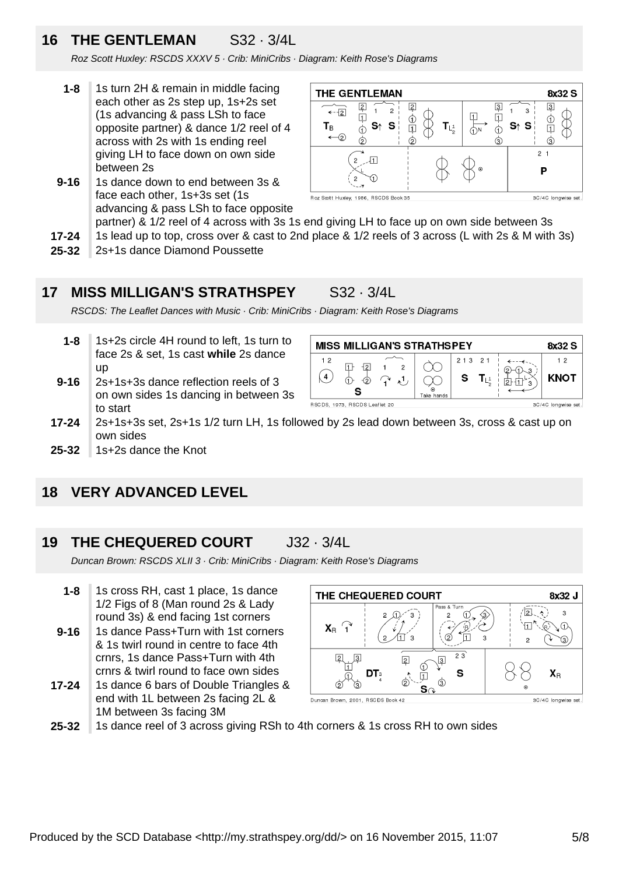### **16 THE GENTLEMAN** S32 · 3/4L

Roz Scott Huxley: RSCDS XXXV 5 · Crib: MiniCribs · Diagram: Keith Rose's Diagrams

- **1-8** 1s turn 2H & remain in middle facing each other as 2s step up, 1s+2s set (1s advancing & pass LSh to face opposite partner) & dance 1/2 reel of 4 across with 2s with 1s ending reel giving LH to face down on own side between 2s
- **9-16** 1s dance down to end between 3s & face each other, 1s+3s set (1s advancing & pass LSh to face opposite

**THE GENTLEMAN** 8x32 S  $\overline{3}$ 2  $\sqrt{2}$ [3] ⊸—<br>←-⊡  $\mathbf{A}$  $\overline{2}$  $\overline{3}$  $\Box$  $\overline{\mathfrak{p}}$  $\mathbb{Q}$  $\mathbb{O}$  $T_{L_2^1}$  $T_B$  $S<sup>†</sup>$  S  $S<sub>1</sub>$  S  $\overline{1}$  $\overline{1}$  $\Phi$  $\spadesuit$ - 15  $\circled{2}$  $\circledS$ ⊚  $2<sub>1</sub>$ រកា P Roz Scott Huxley, 1986, RSCDS Book 35 3C/4C longwise set

> $213$  $2<sub>1</sub>$

> > S  $T_{L^1}$

partner) & 1/2 reel of 4 across with 3s 1s end giving LH to face up on own side between 3s

- **17-24** 1s lead up to top, cross over & cast to 2nd place & 1/2 reels of 3 across (L with 2s & M with 3s)
- **25-32** 2s+1s dance Diamond Poussette

#### **17 MISS MILLIGAN'S STRATHSPEY** S32 · 3/4L

RSCDS: The Leaflet Dances with Music · Crib: MiniCribs · Diagram: Keith Rose's Diagrams

- **1-8** 1s+2s circle 4H round to left, 1s turn to face 2s & set, 1s cast **while** 2s dance up
- **9-16** 2s+1s+3s dance reflection reels of 3 on own sides 1s dancing in between 3s to start



 $12$ 

 $\left( 4\right)$ 

 $\Box$  $\overline{2}$ 

 $\Phi$  $\overline{Q}$ 

S RSCDS, 1973, RSCDS Leaflet 20

**25-32** 1s+2s dance the Knot

#### **18 VERY ADVANCED LEVEL**

#### **19 THE CHEQUERED COURT** J32 · 3/4L

Duncan Brown: RSCDS XLII 3 · Crib: MiniCribs · Diagram: Keith Rose's Diagrams

- **9-16 1-8** 1s cross RH, cast 1 place, 1s dance 1/2 Figs of 8 (Man round 2s & Lady round 3s) & end facing 1st corners 1s dance Pass+Turn with 1st corners & 1s twirl round in centre to face 4th
- crnrs, 1s dance Pass+Turn with 4th crnrs & twirl round to face own sides
- **17-24** 1s dance 6 bars of Double Triangles & end with 1L between 2s facing 2L & 1M between 3s facing 3M



**25-32** 1s dance reel of 3 across giving RSh to 4th corners & 1s cross RH to own sides



**MISS MILLIGAN'S STRATHSPEY** 

 $\mathbf{1}$ 

 $\overline{c}$ 

 $\mathcal{L}^1$ 

M

 $\infty$ 

8x32 S

 $12$ 

**KNOT** 

3C/4C longwise set

 $+1$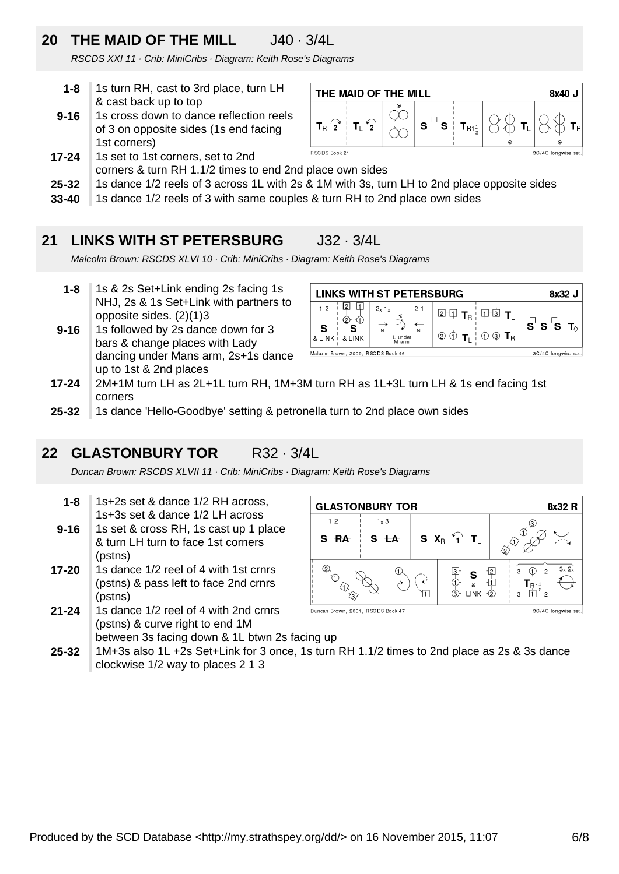## **20 THE MAID OF THE MILL** J40 · 3/4L

RSCDS XXI 11 · Crib: MiniCribs · Diagram: Keith Rose's Diagrams

- **1-8** 1s turn RH, cast to 3rd place, turn LH & cast back up to top
- **9-16** 1s cross down to dance reflection reels of 3 on opposite sides (1s end facing 1st corners)
- **17-24** 1s set to 1st corners, set to 2nd



- corners & turn RH 1.1/2 times to end 2nd place own sides
- **25-32** 1s dance 1/2 reels of 3 across 1L with 2s & 1M with 3s, turn LH to 2nd place opposite sides
- **33-40** 1s dance 1/2 reels of 3 with same couples & turn RH to 2nd place own sides

#### **21 LINKS WITH ST PETERSBURG** J32 · 3/4L

Malcolm Brown: RSCDS XLVI 10 · Crib: MiniCribs · Diagram: Keith Rose's Diagrams

- **1-8** 1s & 2s Set+Link ending 2s facing 1s NHJ, 2s & 1s Set+Link with partners to opposite sides. (2)(1)3
- **9-16** 1s followed by 2s dance down for 3 bars & change places with Lady dancing under Mans arm, 2s+1s dance up to 1st & 2nd places

| LINKS WITH ST PETERSBURG<br>8x32 J                         |                             |    |                           |                                 |                   |
|------------------------------------------------------------|-----------------------------|----|---------------------------|---------------------------------|-------------------|
| 12<br>(2<br>S<br>& LINK<br>& I INK                         | $2x$ 1x<br>L under<br>M arm | 21 | 2H<br>$T_{\rm B}$<br>(2)⊣ | $1$ <sup>3</sup><br>$R_{\rm R}$ | $S$ $S$ $S$ $T_0$ |
| Malcolm Brown, 2009, RSC DS Book 46<br>3C/4C longwise set. |                             |    |                           |                                 |                   |

- **17-24** 2M+1M turn LH as 2L+1L turn RH, 1M+3M turn RH as 1L+3L turn LH & 1s end facing 1st corners
- **25-32** 1s dance 'Hello-Goodbye' setting & petronella turn to 2nd place own sides

### **22 GLASTONBURY TOR** R32 · 3/4L

Duncan Brown: RSCDS XLVII 11 · Crib: MiniCribs · Diagram: Keith Rose's Diagrams

- **1-8** 1s+2s set & dance 1/2 RH across, 1s+3s set & dance 1/2 LH across
- **9-16** 1s set & cross RH, 1s cast up 1 place & turn LH turn to face 1st corners (pstns)
- **17-20** 1s dance 1/2 reel of 4 with 1st crnrs (pstns) & pass left to face 2nd crnrs (pstns)
- **21-24** 1s dance 1/2 reel of 4 with 2nd crnrs (pstns) & curve right to end 1M



**25-32** between 3s facing down & 1L btwn 2s facing up 1M+3s also 1L +2s Set+Link for 3 once, 1s turn RH 1.1/2 times to 2nd place as 2s & 3s dance clockwise 1/2 way to places 2 1 3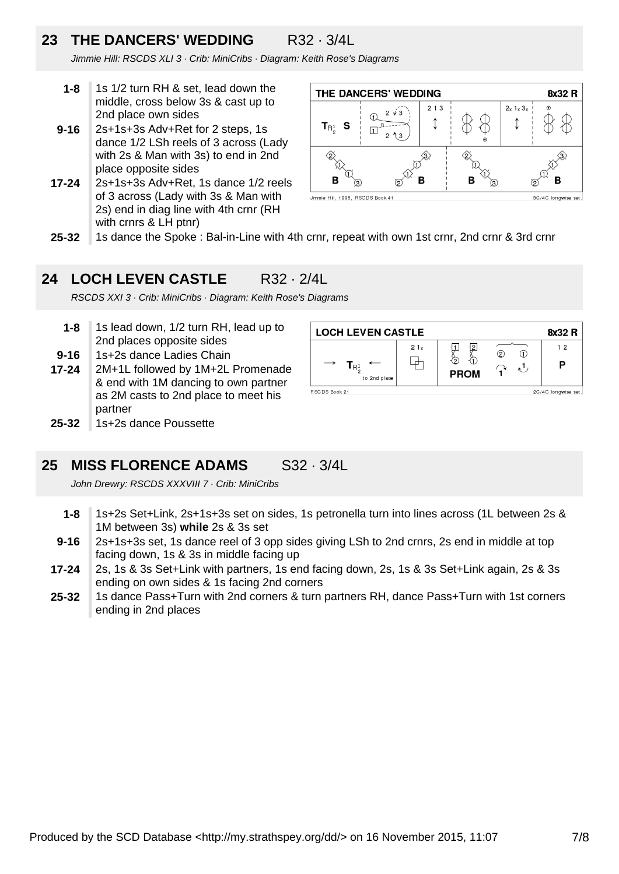### **23 THE DANCERS' WEDDING** R32 · 3/4L

Jimmie Hill: RSCDS XLI 3 · Crib: MiniCribs · Diagram: Keith Rose's Diagrams

- **1-8** 1s 1/2 turn RH & set, lead down the middle, cross below 3s & cast up to 2nd place own sides
- **9-16** 2s+1s+3s Adv+Ret for 2 steps, 1s dance 1/2 LSh reels of 3 across (Lady with 2s & Man with 3s) to end in 2nd place opposite sides
- **17-24** 2s+1s+3s Adv+Ret, 1s dance 1/2 reels of 3 across (Lady with 3s & Man with 2s) end in diag line with 4th crnr (RH with crnrs & LH ptnr)



**25-32** 1s dance the Spoke : Bal-in-Line with 4th crnr, repeat with own 1st crnr, 2nd crnr & 3rd crnr

#### **24 LOCH LEVEN CASTLE** R32 · 2/4L

RSCDS XXI 3 · Crib: MiniCribs · Diagram: Keith Rose's Diagrams

**25-32 17-24 9-16 1-8** 1s lead down, 1/2 turn RH, lead up to 2nd places opposite sides 1s+2s dance Ladies Chain 2M+1L followed by 1M+2L Promenade & end with 1M dancing to own partner as 2M casts to 2nd place to meet his partner 1s+2s dance Poussette

| <b>LOCH LEVEN CASTLE</b><br>8x32 R                    |     |                          |          |         |  |
|-------------------------------------------------------|-----|--------------------------|----------|---------|--|
| $\rightarrow$<br>$T_{\mathsf{R}_2^1}$<br>to 2nd place | 21x | 12.<br>くつ<br><b>PROM</b> | ②<br>י ∡ | 12<br>Р |  |
| RSCDS Book 21<br>2C/4C longwise set.                  |     |                          |          |         |  |

#### **25 MISS FLORENCE ADAMS** S32 · 3/4L

John Drewry: RSCDS XXXVIII 7 · Crib: MiniCribs

- **1-8** 1s+2s Set+Link, 2s+1s+3s set on sides, 1s petronella turn into lines across (1L between 2s & 1M between 3s) **while** 2s & 3s set
- **9-16** 2s+1s+3s set, 1s dance reel of 3 opp sides giving LSh to 2nd crnrs, 2s end in middle at top facing down, 1s & 3s in middle facing up
- **17-24** 2s, 1s & 3s Set+Link with partners, 1s end facing down, 2s, 1s & 3s Set+Link again, 2s & 3s ending on own sides & 1s facing 2nd corners
- **25-32** 1s dance Pass+Turn with 2nd corners & turn partners RH, dance Pass+Turn with 1st corners ending in 2nd places